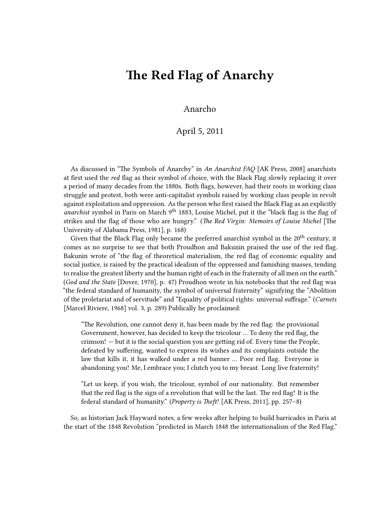## **The Red Flag of Anarchy**

## Anarcho

## April 5, 2011

As discussed in "The Symbols of Anarchy" in *An Anarchist FAQ* [AK Press, 2008] anarchists at first used the *red* flag as their symbol of choice, with the Black Flag slowly replacing it over a period of many decades from the 1880s. Both flags, however, had their roots in working class struggle and protest, both were anti-capitalist symbols raised by working class people in revolt against exploitation and oppression. As the person who first raised the Black Flag as an explicitly *anarchist* symbol in Paris on March 9th 1883, Louise Michel, put it the "black flag is the flag of strikes and the flag of those who are hungry." (*The Red Virgin: Memoirs of Louise Michel* [The University of Alabama Press, 1981], p. 168)

Given that the Black Flag only became the preferred anarchist symbol in the 20<sup>th</sup> century, it comes as no surprise to see that both Proudhon and Bakunin praised the use of the red flag. Bakunin wrote of "the flag of theoretical materialism, the red flag of economic equality and social justice, is raised by the practical idealism of the oppressed and famishing masses, tending to realise the greatest liberty and the human right of each in the fraternity of all men on the earth." (*God and the State* [Dover, 1970], p. 47) Proudhon wrote in his notebooks that the red flag was "the federal standard of humanity, the symbol of universal fraternity" signifying the "Abolition of the proletariat and of servitude" and "Equality of political rights: universal suffrage." (*Carnets* [Marcel Riviere, 1968] vol. 3, p. 289) Publically he proclaimed:

"The Revolution, one cannot deny it, has been made by the red flag: the provisional Government, however, has decided to keep the tricolour … To deny the red flag, the crimson! — but it is the social question you are getting rid of. Every time the People, defeated by suffering, wanted to express its wishes and its complaints outside the law that kills it, it has walked under a red banner … Poor red flag. Everyone is abandoning you! Me, I embrace you; I clutch you to my breast. Long live fraternity!

"Let us keep, if you wish, the tricolour, symbol of our nationality. But remember that the red flag is the sign of a revolution that will be the last. The red flag! It is the federal standard of humanity." (*Property is Theft!* [AK Press, 2011], pp. 257–8)

So, as historian Jack Hayward notes, a few weeks after helping to build barricades in Paris at the start of the 1848 Revolution "predicted in March 1848 the internationalism of the Red Flag."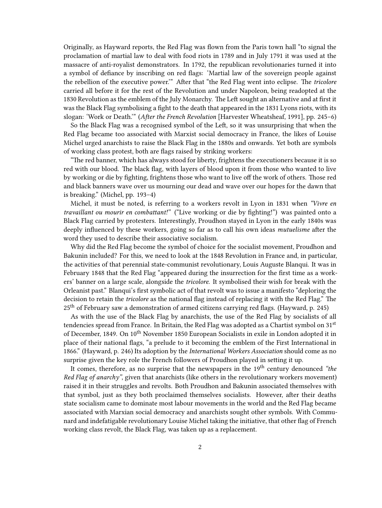Originally, as Hayward reports, the Red Flag was flown from the Paris town hall "to signal the proclamation of martial law to deal with food riots in 1789 and in July 1791 it was used at the massacre of anti-royalist demonstrators. In 1792, the republican revolutionaries turned it into a symbol of defiance by inscribing on red flags: 'Martial law of the sovereign people against the rebellion of the executive power.'" After that "the Red Flag went into eclipse. The *tricolore* carried all before it for the rest of the Revolution and under Napoleon, being readopted at the 1830 Revolution as the emblem of the July Monarchy. The Left sought an alternative and at first it was the Black Flag symbolising a fight to the death that appeared in the 1831 Lyons riots, with its slogan: 'Work or Death.'" (*After the French Revolution* [Harvester Wheatsheaf, 1991], pp. 245–6)

So the Black Flag was a recognised symbol of the Left, so it was unsurprising that when the Red Flag became too associated with Marxist social democracy in France, the likes of Louise Michel urged anarchists to raise the Black Flag in the 1880s and onwards. Yet both are symbols of working class protest, both are flags raised by striking workers:

"The red banner, which has always stood for liberty, frightens the executioners because it is so red with our blood. The black flag, with layers of blood upon it from those who wanted to live by working or die by fighting, frightens those who want to live off the work of others. Those red and black banners wave over us mourning our dead and wave over our hopes for the dawn that is breaking." (Michel, pp. 193–4)

Michel, it must be noted, is referring to a workers revolt in Lyon in 1831 when *"Vivre en travaillant ou mourir en combattant!"* ("Live working or die by fighting!") was painted onto a Black Flag carried by protesters. Interestingly, Proudhon stayed in Lyon in the early 1840s was deeply influenced by these workers, going so far as to call his own ideas *mutuelisme* after the word they used to describe their associative socialism.

Why did the Red Flag become the symbol of choice for the socialist movement, Proudhon and Bakunin included? For this, we need to look at the 1848 Revolution in France and, in particular, the activities of that perennial state-communist revolutionary, Louis Auguste Blanqui. It was in February 1848 that the Red Flag "appeared during the insurrection for the first time as a workers' banner on a large scale, alongside the *tricolore*. It symbolised their wish for break with the Orleanist past." Blanqui's first symbolic act of that revolt was to issue a manifesto "deploring the decision to retain the *tricolore* as the national flag instead of replacing it with the Red Flag." The 25th of February saw a demonstration of armed citizens carrying red flags. (Hayward, p. 245)

As with the use of the Black Flag by anarchists, the use of the Red Flag by socialists of all tendencies spread from France. In Britain, the Red Flag was adopted as a Chartist symbol on 31<sup>st</sup> of December, 1849. On 10<sup>th</sup> November 1850 European Socialists in exile in London adopted it in place of their national flags, "a prelude to it becoming the emblem of the First International in 1866." (Hayward, p. 246) Its adoption by the *International Workers Association* should come as no surprise given the key role the French followers of Proudhon played in setting it up.

It comes, therefore, as no surprise that the newspapers in the 19th century denounced *"the Red Flag of anarchy"*, given that anarchists (like others in the revolutionary workers movement) raised it in their struggles and revolts. Both Proudhon and Bakunin associated themselves with that symbol, just as they both proclaimed themselves socialists. However, after their deaths state socialism came to dominate most labour movements in the world and the Red Flag became associated with Marxian social democracy and anarchists sought other symbols. With Communard and indefatigable revolutionary Louise Michel taking the initiative, that other flag of French working class revolt, the Black Flag, was taken up as a replacement.